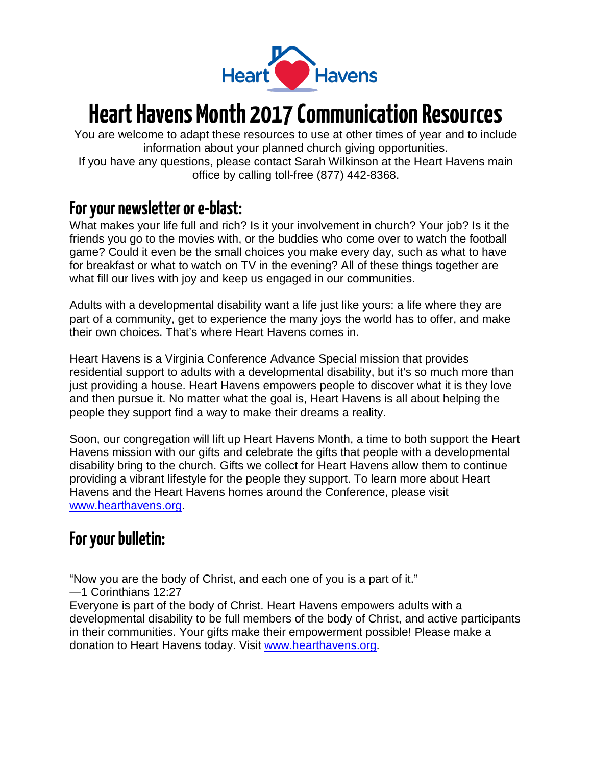

# **Heart Havens Month 2017 Communication Resources**

You are welcome to adapt these resources to use at other times of year and to include information about your planned church giving opportunities. If you have any questions, please contact Sarah Wilkinson at the Heart Havens main

office by calling toll-free (877) 442-8368.

# **For your newsletter or e-blast:**

What makes your life full and rich? Is it your involvement in church? Your job? Is it the friends you go to the movies with, or the buddies who come over to watch the football game? Could it even be the small choices you make every day, such as what to have for breakfast or what to watch on TV in the evening? All of these things together are what fill our lives with joy and keep us engaged in our communities.

Adults with a developmental disability want a life just like yours: a life where they are part of a community, get to experience the many joys the world has to offer, and make their own choices. That's where Heart Havens comes in.

Heart Havens is a Virginia Conference Advance Special mission that provides residential support to adults with a developmental disability, but it's so much more than just providing a house. Heart Havens empowers people to discover what it is they love and then pursue it. No matter what the goal is, Heart Havens is all about helping the people they support find a way to make their dreams a reality.

Soon, our congregation will lift up Heart Havens Month, a time to both support the Heart Havens mission with our gifts and celebrate the gifts that people with a developmental disability bring to the church. Gifts we collect for Heart Havens allow them to continue providing a vibrant lifestyle for the people they support. To learn more about Heart Havens and the Heart Havens homes around the Conference, please visit [www.hearthavens.org.](http://www.hearthavens.org/)

# **For your bulletin:**

"Now you are the body of Christ, and each one of you is a part of it."

—1 Corinthians 12:27

Everyone is part of the body of Christ. Heart Havens empowers adults with a developmental disability to be full members of the body of Christ, and active participants in their communities. Your gifts make their empowerment possible! Please make a donation to Heart Havens today. Visit [www.hearthavens.org.](http://www.hearthavens.org/)